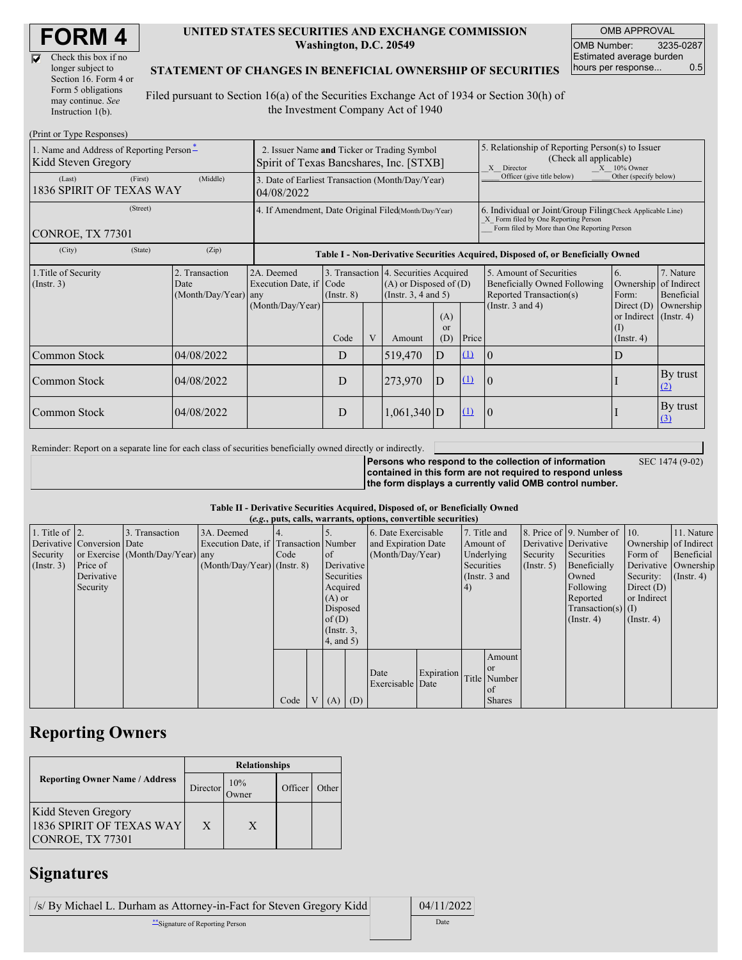$\overline{\nabla}$ 

| Check this box if no  |
|-----------------------|
| longer subject to     |
| Section 16. Form 4 or |
| Form 5 obligations    |
| may continue. See     |
| Instruction $1(b)$ .  |

#### **UNITED STATES SECURITIES AND EXCHANGE COMMISSION Washington, D.C. 20549**

OMB APPROVAL OMB Number: 3235-0287 Estimated average burden hours per response... 0.5

SEC 1474 (9-02)

### **STATEMENT OF CHANGES IN BENEFICIAL OWNERSHIP OF SECURITIES**

Filed pursuant to Section 16(a) of the Securities Exchange Act of 1934 or Section 30(h) of the Investment Company Act of 1940

| (Print or Type Responses)                                       |                                                                                        |                                                                                  |             |   |                                                                                                 |                         |                                                                                                                                                    |                                                                                    |                                                                   |                         |
|-----------------------------------------------------------------|----------------------------------------------------------------------------------------|----------------------------------------------------------------------------------|-------------|---|-------------------------------------------------------------------------------------------------|-------------------------|----------------------------------------------------------------------------------------------------------------------------------------------------|------------------------------------------------------------------------------------|-------------------------------------------------------------------|-------------------------|
| 1. Name and Address of Reporting Person-<br>Kidd Steven Gregory | 2. Issuer Name and Ticker or Trading Symbol<br>Spirit of Texas Bancshares, Inc. [STXB] |                                                                                  |             |   |                                                                                                 |                         | 5. Relationship of Reporting Person(s) to Issuer<br>(Check all applicable)<br>X Director<br>$X = 10\%$ Owner                                       |                                                                                    |                                                                   |                         |
| (Last)<br>1836 SPIRIT OF TEXAS WAY                              | 3. Date of Earliest Transaction (Month/Day/Year)<br>04/08/2022                         |                                                                                  |             |   |                                                                                                 |                         | Officer (give title below)<br>Other (specify below)                                                                                                |                                                                                    |                                                                   |                         |
| CONROE, TX 77301                                                | 4. If Amendment, Date Original Filed(Month/Day/Year)                                   |                                                                                  |             |   |                                                                                                 |                         | 6. Individual or Joint/Group Filing Check Applicable Line)<br>X Form filed by One Reporting Person<br>Form filed by More than One Reporting Person |                                                                                    |                                                                   |                         |
| (City)                                                          |                                                                                        | Table I - Non-Derivative Securities Acquired, Disposed of, or Beneficially Owned |             |   |                                                                                                 |                         |                                                                                                                                                    |                                                                                    |                                                                   |                         |
| 1. Title of Security<br>(Insert. 3)                             | 2. Transaction<br>Date<br>(Month/Day/Year)                                             | 2A. Deemed<br>Execution Date, if Code<br>any                                     | (Insert, 8) |   | 3. Transaction 4. Securities Acquired<br>$(A)$ or Disposed of $(D)$<br>(Instr. $3, 4$ and $5$ ) |                         |                                                                                                                                                    | 5. Amount of Securities<br>Beneficially Owned Following<br>Reported Transaction(s) | 6.<br>Ownership of Indirect<br>Form:                              | 7. Nature<br>Beneficial |
|                                                                 |                                                                                        | (Month/Day/Year)                                                                 | Code        | V | Amount                                                                                          | (A)<br><b>or</b><br>(D) | Price                                                                                                                                              | (Instr. $3$ and $4$ )                                                              | Direct $(D)$<br>or Indirect (Instr. 4)<br>(I)<br>$($ Instr. 4 $)$ | Ownership               |
| Common Stock                                                    | 04/08/2022                                                                             |                                                                                  | D           |   | 519,470                                                                                         | D                       | $\Omega$                                                                                                                                           | 10                                                                                 | I)                                                                |                         |
| Common Stock                                                    | 04/08/2022                                                                             |                                                                                  | D           |   | 273,970                                                                                         | D                       | (1)                                                                                                                                                | 10                                                                                 |                                                                   | By trust<br>(2)         |
| Common Stock                                                    | 04/08/2022                                                                             |                                                                                  | D           |   | $1,061,340$ D                                                                                   |                         | $\Omega$                                                                                                                                           | 10                                                                                 |                                                                   | By trust<br>$\Omega$    |

Reminder: Report on a separate line for each class of securities beneficially owned directly or indirectly.

**Persons who respond to the collection of information contained in this form are not required to respond unless the form displays a currently valid OMB control number.**

### **Table II - Derivative Securities Acquired, Disposed of, or Beneficially Owned**

|                        | (e.g., puts, calls, warrants, options, convertible securities) |                                  |                                       |      |  |                  |  |                     |            |            |               |               |                              |                       |            |             |                  |  |                      |
|------------------------|----------------------------------------------------------------|----------------------------------|---------------------------------------|------|--|------------------|--|---------------------|------------|------------|---------------|---------------|------------------------------|-----------------------|------------|-------------|------------------|--|----------------------|
| 1. Title of $\vert$ 2. |                                                                | 3. Transaction                   | 3A. Deemed                            |      |  |                  |  | 6. Date Exercisable |            |            | 7. Title and  |               | 8. Price of 9. Number of 10. |                       | 11. Nature |             |                  |  |                      |
|                        | Derivative Conversion Date                                     |                                  | Execution Date, if Transaction Number |      |  |                  |  | and Expiration Date |            | Amount of  |               |               | Derivative Derivative        | Ownership of Indirect |            |             |                  |  |                      |
| Security               |                                                                | or Exercise (Month/Day/Year) any |                                       | Code |  | $\circ$ f        |  | (Month/Day/Year)    |            | Underlying |               | Security      | Securities                   | Form of               | Beneficial |             |                  |  |                      |
| (Insert. 3)            | Price of                                                       |                                  | $(Month/Day/Year)$ (Instr. 8)         |      |  | Derivative       |  |                     |            |            |               |               |                              | Securities            |            | (Insert. 5) | Beneficially     |  | Derivative Ownership |
|                        | Derivative                                                     |                                  |                                       |      |  | Securities       |  |                     |            |            |               | (Instr. 3 and |                              |                       | Owned      | Security:   | $($ Instr. 4 $)$ |  |                      |
|                        | Security                                                       |                                  |                                       |      |  | Acquired         |  |                     |            |            |               | (4)           |                              |                       |            | Following   | Direct $(D)$     |  |                      |
|                        |                                                                |                                  |                                       |      |  | $(A)$ or         |  |                     |            |            |               |               | Reported                     | or Indirect           |            |             |                  |  |                      |
|                        |                                                                |                                  |                                       |      |  | Disposed         |  |                     |            |            |               |               | $Transaction(s)$ (I)         |                       |            |             |                  |  |                      |
|                        |                                                                |                                  |                                       |      |  | of $(D)$         |  |                     |            |            |               |               | $($ Instr. 4 $)$             | $($ Instr. 4 $)$      |            |             |                  |  |                      |
|                        |                                                                |                                  |                                       |      |  | $($ Instr. $3$ , |  |                     |            |            |               |               |                              |                       |            |             |                  |  |                      |
|                        |                                                                |                                  |                                       |      |  | 4, and 5)        |  |                     |            |            |               |               |                              |                       |            |             |                  |  |                      |
|                        |                                                                |                                  |                                       |      |  |                  |  |                     |            |            | Amount        |               |                              |                       |            |             |                  |  |                      |
|                        |                                                                |                                  |                                       |      |  |                  |  | Date                | Expiration |            | <b>or</b>     |               |                              |                       |            |             |                  |  |                      |
|                        |                                                                |                                  |                                       |      |  |                  |  | Exercisable Date    |            |            | Title Number  |               |                              |                       |            |             |                  |  |                      |
|                        |                                                                |                                  |                                       |      |  |                  |  |                     |            |            | of            |               |                              |                       |            |             |                  |  |                      |
|                        |                                                                |                                  |                                       | Code |  | $(A)$ $(D)$      |  |                     |            |            | <b>Shares</b> |               |                              |                       |            |             |                  |  |                      |

## **Reporting Owners**

|                                                                     | <b>Relationships</b> |                |  |       |  |  |  |
|---------------------------------------------------------------------|----------------------|----------------|--|-------|--|--|--|
| <b>Reporting Owner Name / Address</b>                               | Director             | 10%<br>Officer |  | Other |  |  |  |
| Kidd Steven Gregory<br>1836 SPIRIT OF TEXAS WAY<br>CONROE, TX 77301 | X                    | X              |  |       |  |  |  |

# **Signatures**

| /s/ By Michael L. Durham as Attorney-in-Fact for Steven Gregory Kidd | 04/11/2022 |
|----------------------------------------------------------------------|------------|
| "Signature of Reporting Person                                       | Date       |